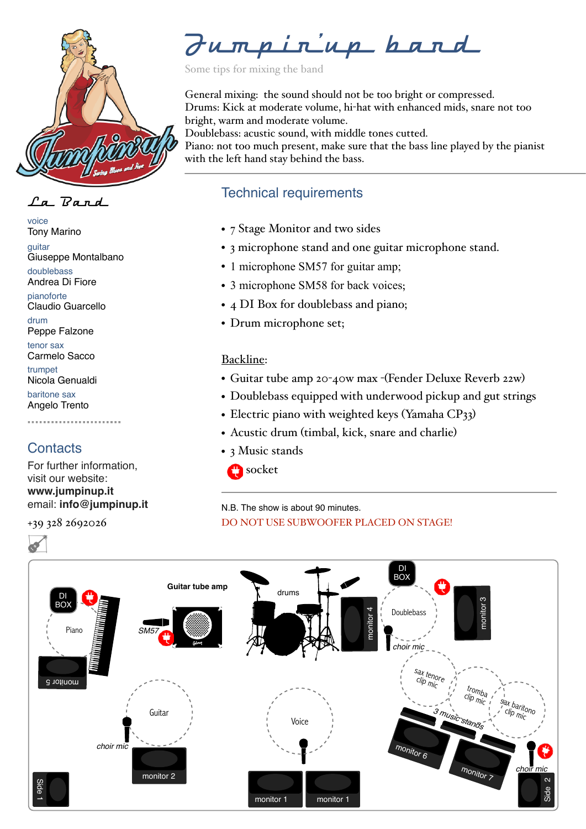

 $\int a \cdot \nabla a \cdot n d$ 

voice Tony Marino

guitar Giuseppe Montalbano

doublebass Andrea Di Fiore

pianoforte Claudio Guarcello

drum Peppe Falzone

tenor sax Carmelo Sacco

trumpet Nicola Genualdi

baritone sax Angelo Trento

# **Contacts**

For further information, visit our website: **[www.jumpinup.it](http://www.jumpinup.it)** email: **[info@jumpinup.it](mailto:info@jumpinup.it)**

+39 328 2692026

Jumpin'up band

Some tips for mixing the band

General mixing: the sound should not be too bright or compressed. Drums: Kick at moderate volume, hi-hat with enhanced mids, snare not too bright, warm and moderate volume. Doublebass: acustic sound, with middle tones cutted.

Piano: not too much present, make sure that the bass line played by the pianist with the left hand stay behind the bass.

# Technical requirements

- 7 Stage Monitor and two sides
- 3 microphone stand and one guitar microphone stand.
- 1 microphone SM57 for guitar amp;
- 3 microphone SM58 for back voices;
- 4 DI Box for doublebass and piano;
- Drum microphone set;

### Backline:

- Guitar tube amp 20-40w max -(Fender Deluxe Reverb 22w)
- Doublebass equipped with underwood pickup and gut strings
- Electric piano with weighted keys (Yamaha CP33)
- Acustic drum (timbal, kick, snare and charlie)
- 3 Music stands



### N.B. The show is about 90 minutes. DO NOT USE SUBWOOFER PLACED ON STAGE!